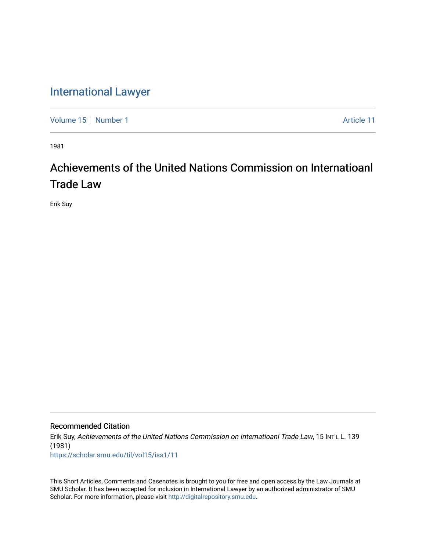## [International Lawyer](https://scholar.smu.edu/til)

[Volume 15](https://scholar.smu.edu/til/vol15) [Number 1](https://scholar.smu.edu/til/vol15/iss1) Article 11

1981

## Achievements of the United Nations Commission on Internatioanl Trade Law

Erik Suy

## Recommended Citation

Erik Suy, Achievements of the United Nations Commission on Internatioanl Trade Law, 15 INT'L L. 139 (1981)

[https://scholar.smu.edu/til/vol15/iss1/11](https://scholar.smu.edu/til/vol15/iss1/11?utm_source=scholar.smu.edu%2Ftil%2Fvol15%2Fiss1%2F11&utm_medium=PDF&utm_campaign=PDFCoverPages)

This Short Articles, Comments and Casenotes is brought to you for free and open access by the Law Journals at SMU Scholar. It has been accepted for inclusion in International Lawyer by an authorized administrator of SMU Scholar. For more information, please visit [http://digitalrepository.smu.edu.](http://digitalrepository.smu.edu/)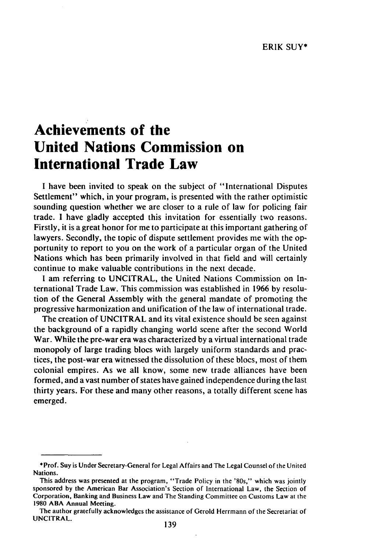## **Achievements of the United Nations Commission on International Trade Law**

I have been invited to speak on the subject of "International Disputes Settlement" which, in your program, is presented with the rather optimistic sounding question whether we are closer to a rule of law for policing fair trade. I have gladly accepted this invitation for essentially two reasons. Firstly, it is a great honor for me to participate at this important gathering of lawyers. Secondly, the topic of dispute settlement provides me with the opportunity to report to you on the work of a particular organ of the United Nations which has been primarily involved in that field and will certainly continue to make valuable contributions in the next decade.

**I** am referring to UNCITRAL, the United Nations Commission on International Trade Law. This commission was established in 1966 by resolution of the General Assembly with the general mandate of promoting the progressive harmonization and unification of the law of international trade.

The creation of UNCITRAL and its vital existence should be seen against the background of a rapidly changing world scene after the second World War. While the pre-war era was characterized by a virtual international trade monopoly of large trading blocs with largely uniform standards and practices, the post-war era witnessed the dissolution of these blocs, most of them colonial empires. As we all know, some new trade alliances have been formed, and a vast number of states have gained independence during the last thirty years. For these and many other reasons, a totally different scene has emerged.

<sup>\*</sup>Prof. Suy is Under Secretary-General for Legal Affairs and The Legal Counsel of the United Nations.

This address was presented at the program, "Trade Policy in the '80s," which was jointly sponsored by the American Bar Association's Section of International Law, the Section of Corporation, Banking and Business Law and The Standing Committee on Customs Law at the 1980 ABA Annual Meeting.

The author gratefully acknowledges the assistance of Gerold Herrmann of the Secretariat of UNCITRAL.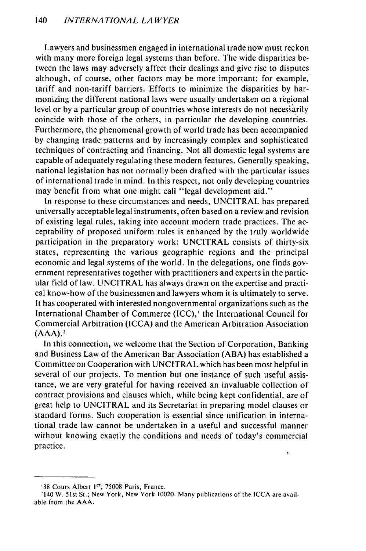Lawyers and businessmen engaged in international trade now must reckon with many more foreign legal systems than before. The wide disparities between the laws may adversely affect their dealings and give rise to disputes although, of course, other factors may be more important; for example, tariff and non-tariff barriers. Efforts to minimize the disparities by harmonizing the different national laws were usually undertaken on a regional level or by a particular group of countries whose interests do not necessarily coincide with those of the others, in particular the developing countries. Furthermore, the phenomenal growth of world trade has been accompanied by changing trade patterns and by increasingly complex and sophisticated techniques of contracting and financing. Not all domestic legal systems are capable of adequately regulating these modern features. Generally speaking, national legislation has not normally been drafted with the particular issues of international trade in mind. In this respect, not only developing countries may benefit from what one might call "legal development aid."

In response to these circumstances and needs, UNCITRAL has prepared universally acceptable legal instruments, often based on a review and revision of existing legal rules, taking into account modern trade practices. The acceptability of proposed uniform rules is enhanced by the truly worldwide participation in the preparatory work: UNCITRAL consists of thirty-six states, representing the various geographic regions and the principal economic and legal systems of the world. In the delegations, one finds government representatives together with practitioners and experts in the particular field of law. UNCITRAL has always drawn on the expertise and practical know-how of the businessmen and lawyers whom it is ultimately to serve. It has cooperated with interested nongovernmental organizations such as the International Chamber of Commerce (ICC),' the International Council for Commercial Arbitration (ICCA) and the American Arbitration Association  $(AAA).<sup>2</sup>$ 

In this connection, we welcome that the Section of Corporation, Banking and Business Law of the American Bar Association **(ABA)** has established a Committee on Cooperation with UNCITRAL which has been most helpful in several of our projects. To mention but one instance of such useful assistance, we are very grateful for having received an invaluable collection of contract provisions and clauses which, while being kept confidential, are of great help to UNCITRAL and its Secretariat in preparing model clauses or standard forms. Such cooperation is essential since unification in international trade law cannot be undertaken in a useful and successful manner without knowing exactly the conditions and needs of today's commercial practice.

<sup>&#</sup>x27;38 Cours Albert 1er; 75008 Paris, France.

<sup>2140</sup> W. 51st St.; New York, New York 10020. Many publications of the ICCA are available from the AAA.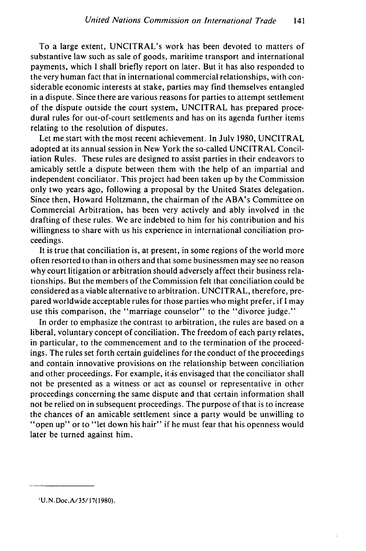To a large extent, UNCITRAL's work has been devoted to matters of substantive law such as sale of goods, maritime transport and international payments, which I shall briefly report on later. But it has also responded to the very human fact that in international commercial relationships, with considerable economic interests at stake, parties may find themselves entangled in a dispute. Since there are various reasons for parties to attempt settlement of the dispute outside the court system, UNCITRAL has prepared procedural rules for out-of-court settlements and has on its agenda further items relating to the resolution of disputes.

Let me start with the most recent achievement. In July 1980, UNCITRAL adopted at its annual session in New York the so-called UNCITRAL Conciliation Rules. These rules are designed to assist parties in their endeavors to amicably settle a dispute between them with the help of an impartial and independent conciliator. This project had been taken up by the Commission only two years ago, following a proposal by the United States delegation. Since then, Howard Holtzmann, the chairman of the ABA's Committee on Commercial Arbitration, has been very actively and ably involved in the drafting of these rules. We are indebted to him for his contribution and his willingness to share with us his experience in international conciliation proceedings.

It is true that conciliation is, at present, in some regions of the world more often resorted to than in others and that some businessmen may see no reason why court litigation or arbitration should adversely affect their business relationships. But the members of the Commission felt that conciliation could be considered as a viable alternative to arbitration. UNCITRAL, therefore, prepared worldwide acceptable rules for those parties who might prefer, if I may use this comparison, the "marriage counselor" to the "divorce judge."

In order to emphasize the contrast to arbitration, the rules are based on a liberal, voluntary concept of conciliation. The freedom of each party relates, in particular, to the commencement and to the termination of the proceedings. The rules set forth certain guidelines for the conduct of the proceedings and contain innovative provisions on the relationship between conciliation and other proceedings. For example, it is envisaged that the conciliator shall not be presented as a witness or act as counsel or representative in other proceedings concerning the same dispute and that certain information shall not be relied on in subsequent proceedings. The purpose of that is to increase the chances of an amicable settlement since a party would be unwilling to "open up" or to "let down his hair" if he must fear that his openness would later be turned against him.

**<sup>&#</sup>x27;U.N.** Doc.A/35/17(1980).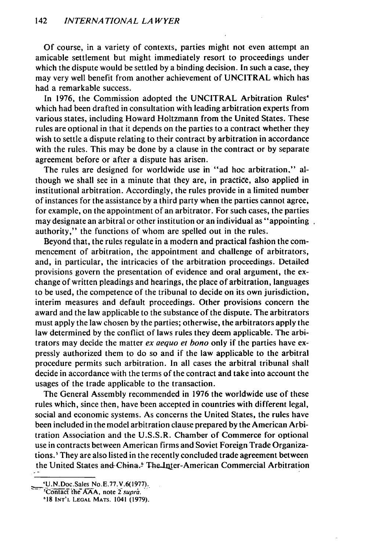**Of** course, in a variety of contexts, parties might not even attempt an amicable settlement but might immediately resort to proceedings under which the dispute would be settled by a binding decision. In such a case, they may very well benefit from another achievement of UNCITRAL which has had a remarkable success.

In 1976, the Commission adopted the UNCITRAL Arbitration Rules' which had been drafted in consultation with leading arbitration experts from various states, including Howard Holtzmann from the United States. These rules are optional in that it depends on the parties to a contract whether they wish to settle a dispute relating to their contract by arbitration in accordance with the rules. This may be done by a clause in the contract or by separate agreement before or after a dispute has arisen.

The rules are designed for worldwide use in "ad hoc arbitration," although we shall see in a minute that they are, in practice, also applied in institutional arbitration. Accordingly, the rules provide in a limited number of instances for the assistance by a third party when the parties cannot agree, for example, on the appointment of an arbitrator. For such cases, the parties may designate an arbitral or other institution or an individual as "appointing authority," the functions of whom are spelled out in the rules.

Beyond that, the rules regulate in a modern and practical fashion the commencement of arbitration, the appointment and challenge of arbitrators, and, in particular, the intricacies of the arbitration proceedings. Detailed provisions govern the presentation of evidence and oral argument, the exchange of written pleadings and hearings, the place of arbitration, languages to be used, the competence of the tribunal to decide on its own jurisdiction, interim measures and default proceedings. Other provisions concern the award and the law applicable to the substance of the dispute. The arbitrators must apply the law chosen by the parties; otherwise, the arbitrators apply the law determined by the conflict of laws rules they deem applicable. The arbitrators may decide the matter ex aequo et *bono* only if the parties have expressly authorized them to do so and if the law applicable to the arbitral procedure permits such arbitration. In all cases the arbitral tribunal shall decide in accordance with the terms of the contract and take into account the usages of the trade applicable to the transaction.

The General Assembly recommended in 1976 the worldwide use of these rules which, since then, have been accepted in countries with different legal, social and economic systems. As concerns the United States, the rules have been included in the model arbitration clause prepared by the American Arbitration Association and the U.S.S.R. Chamber of Commerce for optional use in contracts between American firms and Soviet Foreign Trade Organizations.' They are also listed in the recently concluded trade agreement between the United States and China.<sup>6</sup> The Inter-American Commercial Arbitration

*<sup>..</sup>* U.N.Doc.Sales No.E.77.V.6(1977).

<sup>&</sup>lt;sup>*s*</sup>Contact the AAA, note 2 supra.

**<sup>&#</sup>x27;18 INT'L LEGAL MATS.** 1041 **(1979).**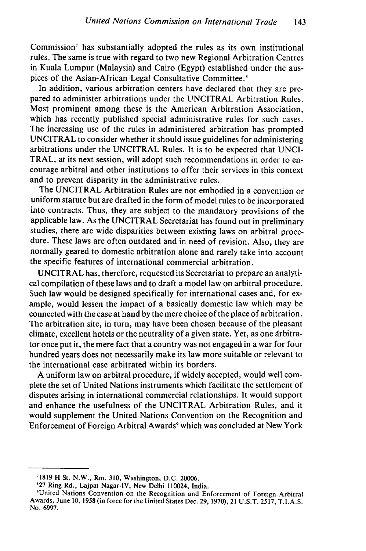Commission<sup>7</sup> has substantially adopted the rules as its own institutional rules. The same is true with regard to two new Regional Arbitration Centres in Kuala Lumpur (Malaysia) and Cairo (Egypt) established under the auspices of the Asian-African Legal Consultative Committee.<sup>8</sup>

In addition, various arbitration centers have declared that they are prepared to administer arbitrations under the UNCITRAL Arbitration Rules. Most prominent among these is the American Arbitration Association, which has recently published special administrative rules for such cases. The increasing use of the rules in administered arbitration has prompted UNCITRAL to consider whether it should issue guidelines for administering arbitrations under the UNCITRAL Rules. It is to be expected that UNCI-TRAL, at its next session, will adopt such recommendations in order to encourage arbitral and other institutions to offer their services in this context and to prevent disparity in the administrative rules.

The UNCITRAL Arbitration Rules are not embodied in a convention or uniform statute but are drafted in the form of model rules to be incorporated into contracts. Thus, they are subject to the mandatory provisions of the applicable law. As the UNCITRAL Secretariat has found out in preliminary studies, there are wide disparities between existing laws on arbitral procedure. These laws are often outdated and in need of revision. Also, they are normally geared to domestic arbitration alone and rarely take into account the specific features of international commercial arbitration.

UNCITRAL has, therefore, requested its Secretariat to prepare an analytical compilation of these laws and to draft a model law on arbitral procedure. Such law would be designed specifically for international cases and, for example, would lessen the impact of a basically domestic law which may be connected with the case at hand by the mere choice of the place of arbitration. The arbitration site, in turn, may have been chosen because of the pleasant climate, excellent hotels or the neutrality of a given state. Yet, as one arbitrator once put it, the mere fact that a country was not engaged in a war for four hundred years does not necessarily make its law more suitable or relevant to the international case arbitrated within its borders.

A uniform law on arbitral procedure, if widely accepted, would well complete the set of United Nations instruments which facilitate the settlement of disputes arising in international commercial relationships. It would support and enhance the usefulness of the UNCITRAL Arbitration Rules, and it would supplement the United Nations Convention on the Recognition and Enforcement of Foreign Arbitral Awards<sup>9</sup> which was concluded at New York

<sup>71819</sup> H St. N.W., Rm. 310, Washington, D.C. 20006.

**<sup>&#</sup>x27;27** Ring Rd., Lajpat Nagar-IV, New Delhi 110024, India.

<sup>&#</sup>x27;United Nations Convention on the Recognition and Enforcement of Foreign Arbitral Awards, June 10, **1958** (in force for the United States Dec. 29, 1970), 21 **U.S.T.** 2517, T.I.A.S. No. 6997.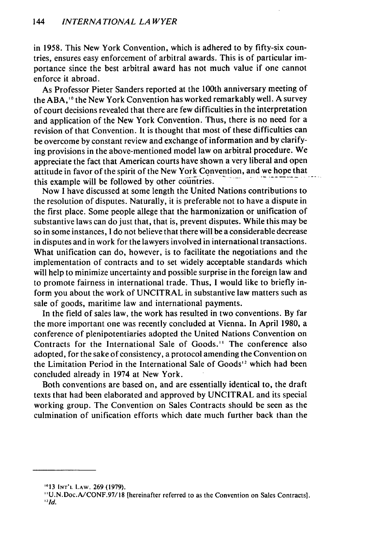in 1958. This New York Convention, which is adhered to by fifty-six countries, ensures easy enforcement of arbitral awards. This is of particular importance since the best arbitral award has not much value if one cannot enforce it abroad.

As Professor Pieter Sanders reported at the 100th anniversary meeting of the ABA,'" the New York Convention has worked remarkably well. A survey of court decisions revealed that there are few difficulties in the interpretation and application of the New York Convention. Thus, there is no need for a revision of that Convention. It is thought that most of these difficulties can be overcome by constant review and exchange of information and by clarifying provisions in the above-mentioned model law on arbitral procedure. We appreciate the fact that American courts have shown a very liberal and open attitude in favor of the spirit of the New York Convention, and we hope that this example will be followed by other countries.

Now I have discussed at some length the United Nations contributions to the resolution of disputes. Naturally, it is preferable not to have a dispute in the first place. Some people allege that the harmonization or unification of substantive laws can do just that, that is, prevent disputes. While this may be so in some instances, I do not believe that there will be a considerable decrease in disputes and in work for the lawyers involved in international transactions. What unification can do, however, is to facilitate the negotiations and the implementation of contracts and to set widely acceptable standards which will help to minimize uncertainty and possible surprise in the foreign law and to promote fairness in international trade. Thus, I would like to briefly inform you about the work of UNCITRAL in substantive law matters such as sale of goods, maritime law and international payments.

In the field of sales law, the work has resulted in two conventions. By far the more important one was recently concluded at Vienna. In April 1980, a conference of plenipotentiaries adopted the United Nations Convention on Contracts for the International Sale of Goods.'' The conference also adopted, for the sake of consistency, a protocol amending the Convention on the Limitation Period in the International Sale of Goods'2 which had been concluded already in 1974 at New York.

Both conventions are based on, and are essentially identical to, the draft texts that had been elaborated and approved by UNCITRAL and its special working group. The Convention on Sales Contracts should be seen as the culmination of unification efforts which date much further back than the

**<sup>013</sup> INT'L** LAW. 269 (1979).

<sup>&#</sup>x27;U.N.Doc.A/CONF.97/18 [hereinafter referred to as the Convention on Sales Contracts]. *2 . 1d.*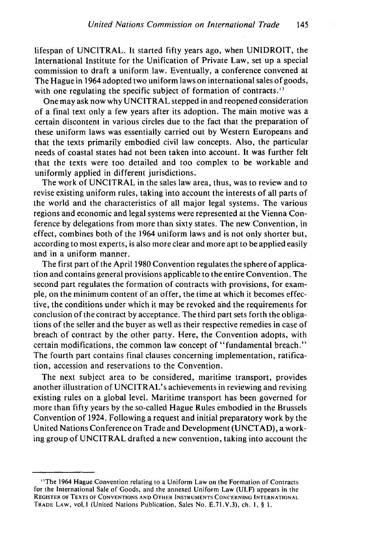lifespan of UNCITRAL. It started fifty years ago, when UNIDROIT, the International Institute for the Unification of Private Law, set up a special commission to draft a uniform law. Eventually, a conference convened at The Hague in 1964 adopted two uniform laws on international sales of goods, with one regulating the specific subject of formation of contracts.<sup>13</sup>

One may ask now why UNCITRAL stepped in and reopened consideration of a final text only a few years after its adoption. The main motive was a certain discontent in various circles due to the fact that the preparation of these uniform laws was essentially carried out by Western Europeans and that the texts primarily embodied civil law concepts. Also, the particular needs of coastal states had not been taken into account. It was further felt that the texts were too detailed and too complex to be workable and uniformly applied in different jurisdictions.

The work of UNCITRAL in the sales law area, thus, was to review and to revise existing uniform rules, taking into account the interests of all parts of the world and the characteristics of all major legal systems. The various regions and economic and legal systems were represented at the Vienna Conference by delegations from more than sixty states. The new Convention, in effect, combines both of the 1964 uniform laws and is not only shorter but, according to most experts, is also more clear and more apt to be applied easily and in a uniform manner.

The first part of the April 1980 Convention regulates the sphere of application and contains general provisions applicable to the entire Convention. The second part regulates the formation of contracts with provisions, for example, on the minimum content of an offer, the time at which it becomes effective, the conditions under which it may be revoked and the requirements for conclusion of the contract by acceptance. The third part sets forth the obligations of the seller and the buyer as well as their respective remedies in case of breach of contract by the other party. Here, the Convention adopts, with certain modifications, the common law concept of "fundamental breach." The fourth part contains final clauses concerning implementation, ratification, accession and reservations to the Convention.

The next subject area to be considered, maritime transport, provides another illustration of UNCITRAL's achievements in reviewing and revising existing rules on a global level. Maritime transport has been governed for more than fifty years by the so-called Hague Rules embodied in the Brussels Convention of 1924. Following a request and initial preparatory work by the United Nations Conference on Trade and Development (UNCTAD), a working group of UNCITRAL drafted a new convention, taking into account the

<sup>&#</sup>x27;The 1964 Hague Convention relating to a Uniform Law on the Formation of Contracts for the International Sale of Goods, and the annexed Uniform Law (ULF) appears in the REGISTER **OF TEXTS** OF **CONVENTIONS AND** OTHER **INSTRUMENTS CONCERNING INTERNATIONAL TRADE** LAW, vol. 1 (United Nations Publication, Sales No. E.71.V.3), ch. **I,** § I.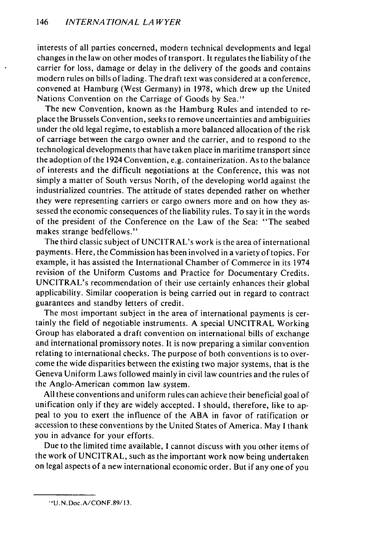interests of all parties concerned, modern technical developments and legal changes in the law on other modes of transport. It regulates the liability of the carrier for loss, damage or delay in the delivery of the goods and contains modern rules on bills of lading. The draft text was considered at a conference, convened at Hamburg (West Germany) in 1978, which drew up the United Nations Convention on the Carriage of Goods by Sea."

The new Convention, known as the Hamburg Rules and intended to replace the Brussels Convention, seeks to remove uncertainties and ambiguities under the old legal regime, to establish a more balanced allocation of the risk of carriage between the cargo owner and the carrier, and to respond to the technological developments that have taken place in maritime transport since the adoption of the 1924 Convention, e.g. containerization. As to the balance of interests and the difficult negotiations at the Conference, this was not simply a matter of South versus North, of the developing world against the industrialized countries. The attitude of states depended rather on whether they were representing carriers or cargo owners more and on how they assessed the economic consequences of the liability rules. To say it in the words of the president of the Conference on the Law of the Sea: "The seabed makes strange bedfellows."

The third classic subject of UNCITRAL's work is the area of international payments. Here, the Commission has been involved in a variety of topics. For example, it has assisted the International Chamber of Commerce in its 1974 revision of the Uniform Customs and Practice for Documentary Credits. UNCITRAL's recommendation of their use certainly enhances their global applicability. Similar cooperation is being carried out in regard to contract guarantees and standby letters of credit.

The most important subject in the area of international payments is certainly the field of negotiable instruments. A special UNCITRAL Working Group has elaborated a draft convention on international bills of exchange and international promissory notes. It is now preparing a similar convention relating to international checks. The purpose of both conventions is to overcome the wide disparities between the existing two major systems, that is the Geneva Uniform Laws followed mainly in civil law countries and the rules of the Anglo-American common law system.

All these conventions and uniform rules can achieve their beneficial goal of unification only if they are widely accepted. I should, therefore, like to appeal to you to exert the influence of the **ABA** in favor of ratification or accession to these conventions by the United States of America. May I thank you in advance for your efforts.

Due to the limited time available, **I** cannot discuss with you other items of the work of UNCITRAL, such as the important work now being undertaken on legal aspects of a new international economic order. But if any one of you

**<sup>&#</sup>x27;"** U.N.Doc.A/CONF.89/13.